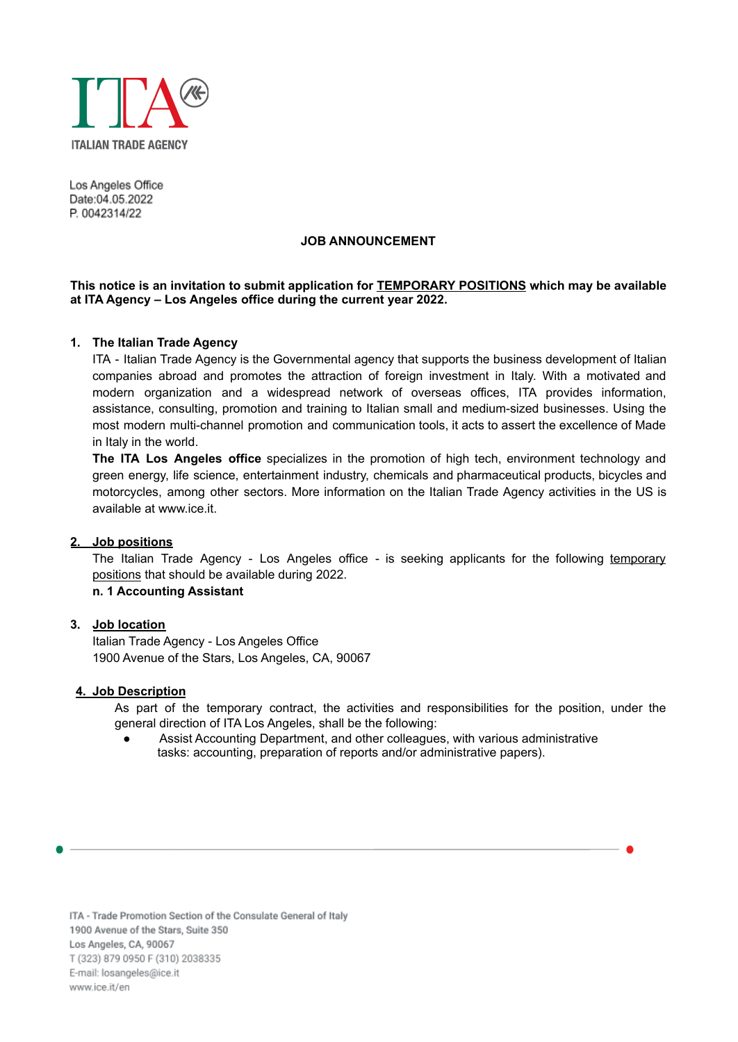

Los Angeles Office Date:04.05.2022 P. 0042314/22

#### **JOB ANNOUNCEMENT**

# **This notice is an invitation to submit application for TEMPORARY POSITIONS which may be available at ITA Agency – Los Angeles office during the current year 2022.**

# **1. The Italian Trade Agency**

ITA - Italian Trade Agency is the Governmental agency that supports the business development of Italian companies abroad and promotes the attraction of foreign investment in Italy. With a motivated and modern organization and a widespread network of overseas offices, ITA provides information, assistance, consulting, promotion and training to Italian small and medium-sized businesses. Using the most modern multi-channel promotion and communication tools, it acts to assert the excellence of Made in Italy in the world.

**The ITA Los Angeles office** specializes in the promotion of high tech, environment technology and green energy, life science, entertainment industry, chemicals and pharmaceutical products, bicycles and motorcycles, among other sectors. More information on the Italian Trade Agency activities in the US is available at [www.ice.it](http://www.ice.it).

# **2. Job positions**

The Italian Trade Agency - Los Angeles office - is seeking applicants for the following temporary positions that should be available during 2022.

**n. 1 Accounting Assistant**

# **3. Job location**

Italian Trade Agency - Los Angeles Office 1900 Avenue of the Stars, Los Angeles, CA, 90067

#### **4. Job Description**

As part of the temporary contract, the activities and responsibilities for the position, under the general direction of ITA Los Angeles, shall be the following:

Assist Accounting Department, and other colleagues, with various administrative tasks: accounting, preparation of reports and/or administrative papers).

ITA - Trade Promotion Section of the Consulate General of Italy 1900 Avenue of the Stars, Suite 350 Los Angeles, CA, 90067 T (323) 879 0950 F (310) 2038335 E-mail: losangeles@ice.it www.ice.it/en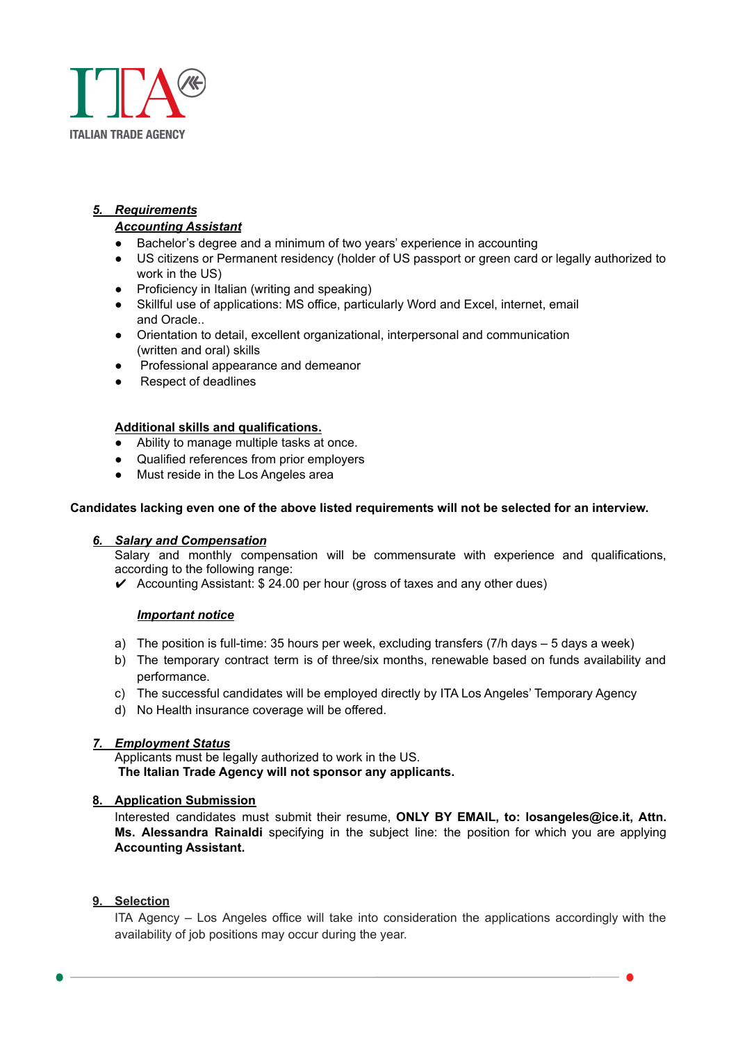

# *5. Requirements*

# *Accounting Assistant*

- Bachelor's degree and a minimum of two years' experience in accounting
- US citizens or Permanent residency (holder of US passport or green card or legally authorized to work in the US)
- Proficiency in Italian (writing and speaking)
- Skillful use of applications: MS office, particularly Word and Excel, internet, email and Oracle..
- Orientation to detail, excellent organizational, interpersonal and communication (written and oral) skills
- Professional appearance and demeanor
- **Respect of deadlines**

# **Additional skills and qualifications.**

- Ability to manage multiple tasks at once.
- Qualified references from prior employers
- Must reside in the Los Angeles area

#### **Candidates lacking even one of the above listed requirements will not be selected for an interview.**

# *6. Salary and Compensation*

Salary and monthly compensation will be commensurate with experience and qualifications, according to the following range:

 $\triangleright$  Accounting Assistant: \$ 24.00 per hour (gross of taxes and any other dues)

# *Important notice*

- a) The position is full-time: 35 hours per week, excluding transfers (7/h days 5 days a week)
- b) The temporary contract term is of three/six months, renewable based on funds availability and performance.
- c) The successful candidates will be employed directly by ITA Los Angeles' Temporary Agency
- d) No Health insurance coverage will be offered.

# *7. Employment Status*

Applicants must be legally authorized to work in the US. **The Italian Trade Agency will not sponsor any applicants.**

# **8. Application Submission**

Interested candidates must submit their resume, **ONLY BY EMAIL, to: losangeles@ice.it, Attn. Ms. Alessandra Rainaldi** specifying in the subject line: the position for which you are applying **Accounting Assistant.**

# **9. Selection**

ITA Agency – Los Angeles office will take into consideration the applications accordingly with the availability of job positions may occur during the year.